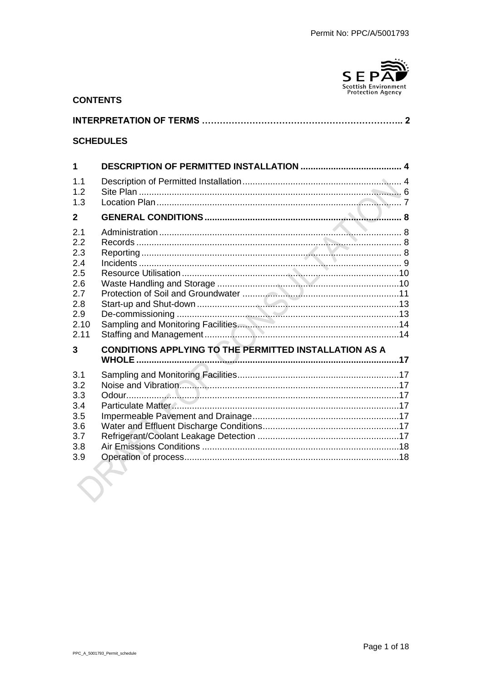

#### **CONTENTS**

**SCHEDULES** 

#### $\blacktriangleleft$  $1.1$  $12$  $1.3$  $\mathbf{z}$ Administration  $2.1$  $2.2$  $2.3$  $2.4$  $2.5$  $2.6$  $2.7$  $28$ 2.9  $2.10$  $2.11$  $\overline{\mathbf{3}}$ **CONDITIONS APPLYING TO THE PERMITTED INSTALLATION AS A**  $3.1$  $32$  $3.3$  $\Omega$ dour  $\Omega$  $3.4$  $3.5$  $3.6$  $3.7$  $3.8$  $3.9$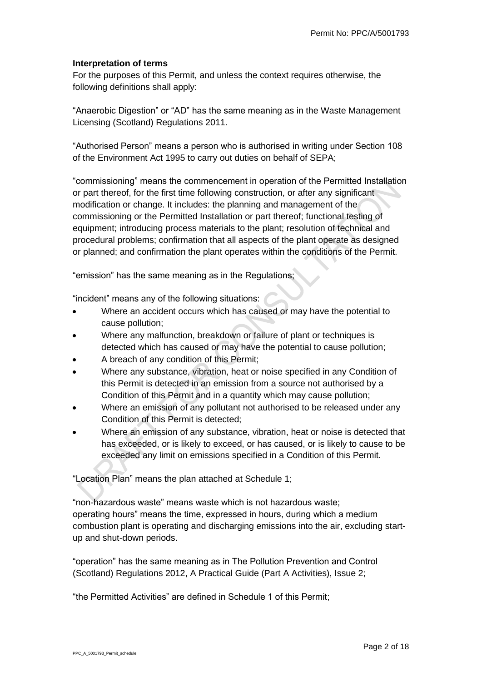### **Interpretation of terms**

For the purposes of this Permit, and unless the context requires otherwise, the following definitions shall apply:

"Anaerobic Digestion" or "AD" has the same meaning as in the Waste Management Licensing (Scotland) Regulations 2011.

"Authorised Person" means a person who is authorised in writing under Section 108 of the Environment Act 1995 to carry out duties on behalf of SEPA;

"commissioning" means the commencement in operation of the Permitted Installation or part thereof, for the first time following construction, or after any significant modification or change. It includes: the planning and management of the commissioning or the Permitted Installation or part thereof; functional testing of equipment; introducing process materials to the plant; resolution of technical and procedural problems; confirmation that all aspects of the plant operate as designed or planned; and confirmation the plant operates within the conditions of the Permit.

"emission" has the same meaning as in the Regulations;

"incident" means any of the following situations:

- Where an accident occurs which has caused or may have the potential to cause pollution;
- Where any malfunction, breakdown or failure of plant or techniques is detected which has caused or may have the potential to cause pollution;
- A breach of any condition of this Permit;
- Where any substance, vibration, heat or noise specified in any Condition of this Permit is detected in an emission from a source not authorised by a Condition of this Permit and in a quantity which may cause pollution;
- Where an emission of any pollutant not authorised to be released under any Condition of this Permit is detected;
- Where an emission of any substance, vibration, heat or noise is detected that has exceeded, or is likely to exceed, or has caused, or is likely to cause to be exceeded any limit on emissions specified in a Condition of this Permit.

"Location Plan" means the plan attached at Schedule 1;

"non-hazardous waste" means waste which is not hazardous waste; operating hours" means the time, expressed in hours, during which a medium combustion plant is operating and discharging emissions into the air, excluding startup and shut-down periods.

"operation" has the same meaning as in The Pollution Prevention and Control (Scotland) Regulations 2012, A Practical Guide (Part A Activities), Issue 2;

"the Permitted Activities" are defined in Schedule 1 of this Permit;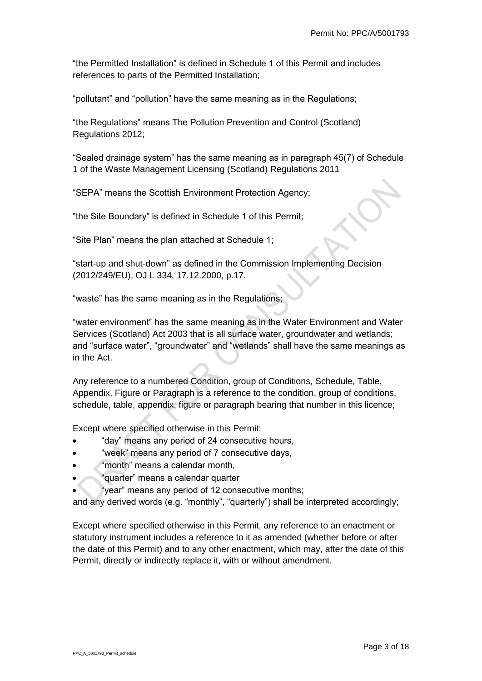"the Permitted Installation" is defined in Schedule 1 of this Permit and includes references to parts of the Permitted Installation;

"pollutant" and "pollution" have the same meaning as in the Regulations;

"the Regulations" means The Pollution Prevention and Control (Scotland) Regulations 2012;

"Sealed drainage system" has the same meaning as in paragraph 45(7) of Schedule 1 of the Waste Management Licensing (Scotland) Regulations 2011

"SEPA" means the Scottish Environment Protection Agency;

"the Site Boundary" is defined in Schedule 1 of this Permit;

"Site Plan" means the plan attached at Schedule 1;

"start-up and shut-down" as defined in the Commission Implementing Decision (2012/249/EU), OJ L 334, 17.12.2000, p.17.

"waste" has the same meaning as in the Regulations;

"water environment" has the same meaning as in the Water Environment and Water Services (Scotland) Act 2003 that is all surface water, groundwater and wetlands; and "surface water", "groundwater" and "wetlands" shall have the same meanings as in the Act.

Any reference to a numbered Condition, group of Conditions, Schedule, Table, Appendix, Figure or Paragraph is a reference to the condition, group of conditions, schedule, table, appendix, figure or paragraph bearing that number in this licence;

Except where specified otherwise in this Permit:

- "day" means any period of 24 consecutive hours,
- "week" means any period of 7 consecutive days,
- "month" means a calendar month,
- "quarter" means a calendar quarter
	- "year" means any period of 12 consecutive months;

and any derived words (e.g. "monthly", "quarterly") shall be interpreted accordingly;

Except where specified otherwise in this Permit, any reference to an enactment or statutory instrument includes a reference to it as amended (whether before or after the date of this Permit) and to any other enactment, which may, after the date of this Permit, directly or indirectly replace it, with or without amendment.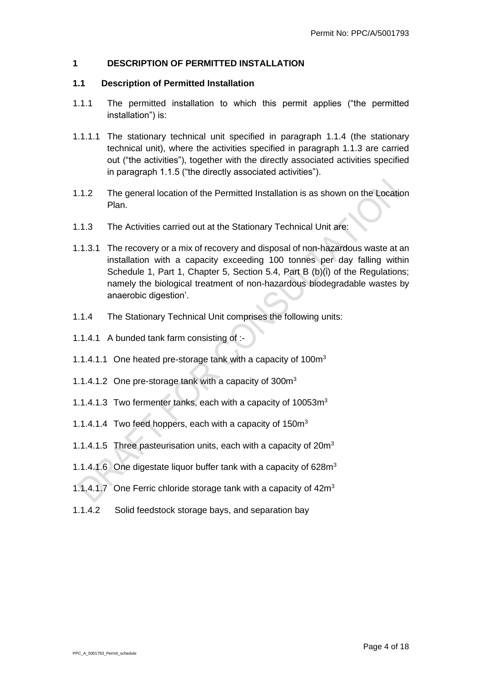### <span id="page-3-0"></span>**1 DESCRIPTION OF PERMITTED INSTALLATION**

#### <span id="page-3-1"></span>**1.1 Description of Permitted Installation**

- 1.1.1 The permitted installation to which this permit applies ("the permitted installation") is:
- 1.1.1.1 The stationary technical unit specified in paragraph 1.1.4 (the stationary technical unit), where the activities specified in paragraph 1.1.3 are carried out ("the activities"), together with the directly associated activities specified in paragraph 1.1.5 ("the directly associated activities").
- 1.1.2 The general location of the Permitted Installation is as shown on the Location Plan.
- 1.1.3 The Activities carried out at the Stationary Technical Unit are:
- 1.1.3.1 The recovery or a mix of recovery and disposal of non-hazardous waste at an installation with a capacity exceeding 100 tonnes per day falling within Schedule 1, Part 1, Chapter 5, Section 5.4, Part B (b)(i) of the Regulations; namely the biological treatment of non-hazardous biodegradable wastes by anaerobic digestion'.
- 1.1.4 The Stationary Technical Unit comprises the following units:
- 1.1.4.1 A bunded tank farm consisting of :-
- 1.1.4.1.1 One heated pre-storage tank with a capacity of 100m<sup>3</sup>
- 1.1.4.1.2 One pre-storage tank with a capacity of 300m<sup>3</sup>
- 1.1.4.1.3 Two fermenter tanks, each with a capacity of 10053m<sup>3</sup>
- 1.1.4.1.4 Two feed hoppers, each with a capacity of 150m<sup>3</sup>
- 1.1.4.1.5 Three pasteurisation units, each with a capacity of 20m<sup>3</sup>
- 1.1.4.1.6 One digestate liquor buffer tank with a capacity of 628m<sup>3</sup>
- 1.1.4.1.7 One Ferric chloride storage tank with a capacity of 42m<sup>3</sup>
- 1.1.4.2 Solid feedstock storage bays, and separation bay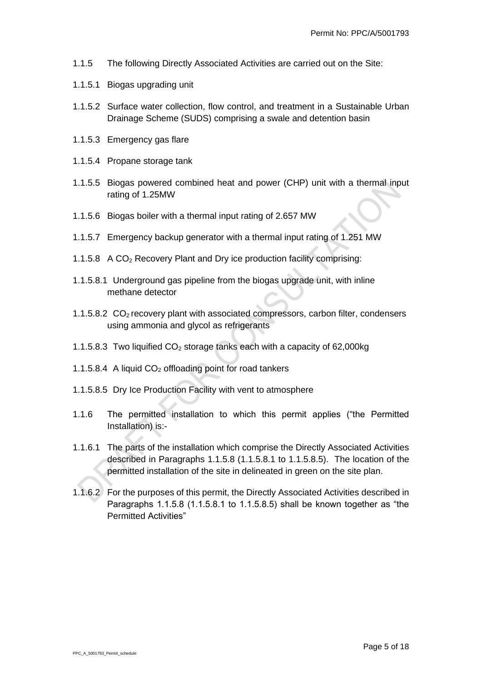- 1.1.5 The following Directly Associated Activities are carried out on the Site:
- 1.1.5.1 Biogas upgrading unit
- 1.1.5.2 Surface water collection, flow control, and treatment in a Sustainable Urban Drainage Scheme (SUDS) comprising a swale and detention basin
- 1.1.5.3 Emergency gas flare
- 1.1.5.4 Propane storage tank
- 1.1.5.5 Biogas powered combined heat and power (CHP) unit with a thermal input rating of 1.25MW
- 1.1.5.6 Biogas boiler with a thermal input rating of 2.657 MW
- 1.1.5.7 Emergency backup generator with a thermal input rating of 1.251 MW
- 1.1.5.8 A CO<sup>2</sup> Recovery Plant and Dry ice production facility comprising:
- 1.1.5.8.1 Underground gas pipeline from the biogas upgrade unit, with inline methane detector
- 1.1.5.8.2 CO2 recovery plant with associated compressors, carbon filter, condensers using ammonia and glycol as refrigerants
- 1.1.5.8.3 Two liquified  $CO<sub>2</sub>$  storage tanks each with a capacity of 62,000kg
- 1.1.5.8.4 A liquid  $CO<sub>2</sub>$  offloading point for road tankers
- 1.1.5.8.5 Dry Ice Production Facility with vent to atmosphere
- 1.1.6 The permitted installation to which this permit applies ("the Permitted Installation) is:-
- 1.1.6.1 The parts of the installation which comprise the Directly Associated Activities described in Paragraphs 1.1.5.8 (1.1.5.8.1 to 1.1.5.8.5). The location of the permitted installation of the site in delineated in green on the site plan.
- 1.1.6.2 For the purposes of this permit, the Directly Associated Activities described in Paragraphs 1.1.5.8 (1.1.5.8.1 to 1.1.5.8.5) shall be known together as "the Permitted Activities"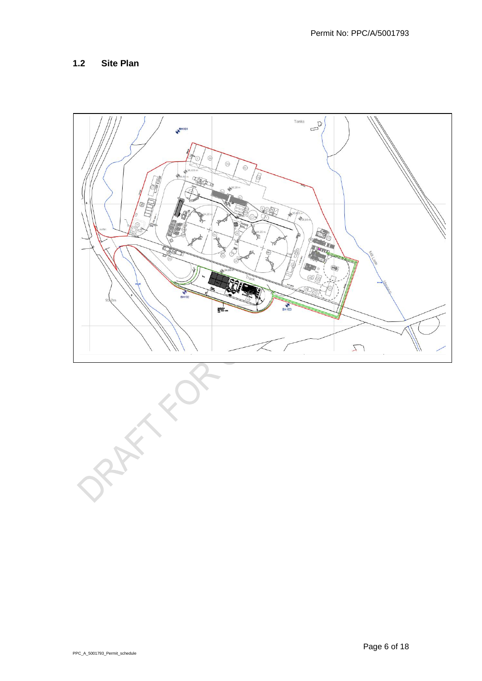# <span id="page-5-0"></span>**1.2 Site Plan**



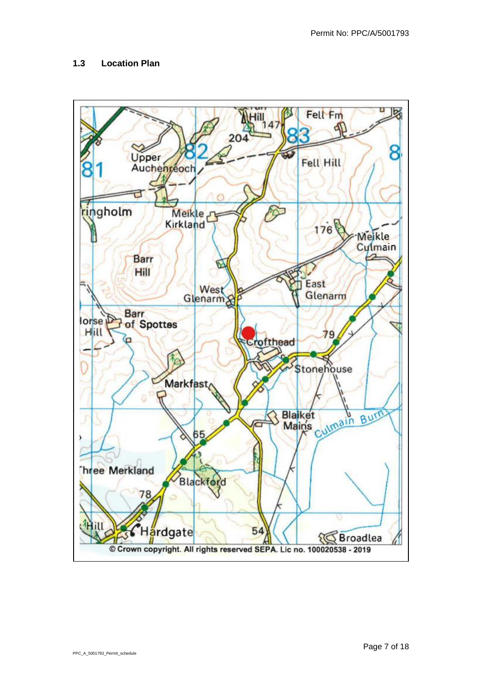# <span id="page-6-0"></span>**1.3 Location Plan**

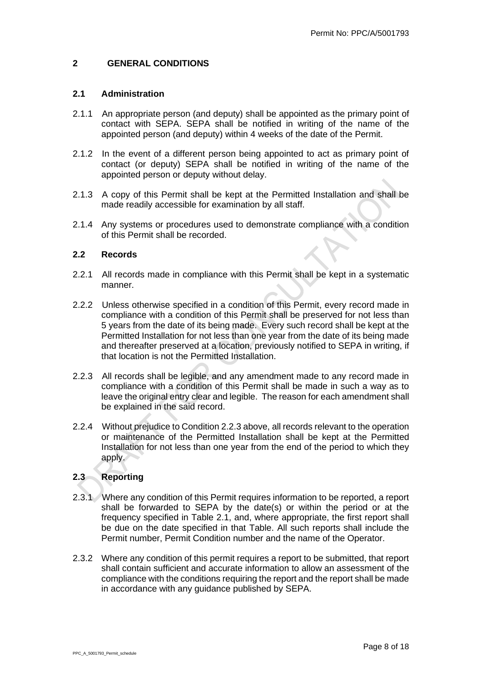#### <span id="page-7-0"></span>**2 GENERAL CONDITIONS**

#### <span id="page-7-1"></span>**2.1 Administration**

- 2.1.1 An appropriate person (and deputy) shall be appointed as the primary point of contact with SEPA. SEPA shall be notified in writing of the name of the appointed person (and deputy) within 4 weeks of the date of the Permit.
- 2.1.2 In the event of a different person being appointed to act as primary point of contact (or deputy) SEPA shall be notified in writing of the name of the appointed person or deputy without delay.
- 2.1.3 A copy of this Permit shall be kept at the Permitted Installation and shall be made readily accessible for examination by all staff.
- 2.1.4 Any systems or procedures used to demonstrate compliance with a condition of this Permit shall be recorded.

### <span id="page-7-2"></span>**2.2 Records**

- 2.2.1 All records made in compliance with this Permit shall be kept in a systematic manner.
- 2.2.2 Unless otherwise specified in a condition of this Permit, every record made in compliance with a condition of this Permit shall be preserved for not less than 5 years from the date of its being made. Every such record shall be kept at the Permitted Installation for not less than one year from the date of its being made and thereafter preserved at a location, previously notified to SEPA in writing, if that location is not the Permitted Installation.
- 2.2.3 All records shall be legible, and any amendment made to any record made in compliance with a condition of this Permit shall be made in such a way as to leave the original entry clear and legible. The reason for each amendment shall be explained in the said record.
- 2.2.4 Without prejudice to Condition 2.2.3 above, all records relevant to the operation or maintenance of the Permitted Installation shall be kept at the Permitted Installation for not less than one year from the end of the period to which they apply.

# <span id="page-7-3"></span>**2.3 Reporting**

- 2.3.1 Where any condition of this Permit requires information to be reported, a report shall be forwarded to SEPA by the date(s) or within the period or at the frequency specified in Table 2.1, and, where appropriate, the first report shall be due on the date specified in that Table. All such reports shall include the Permit number, Permit Condition number and the name of the Operator.
- 2.3.2 Where any condition of this permit requires a report to be submitted, that report shall contain sufficient and accurate information to allow an assessment of the compliance with the conditions requiring the report and the report shall be made in accordance with any guidance published by SEPA.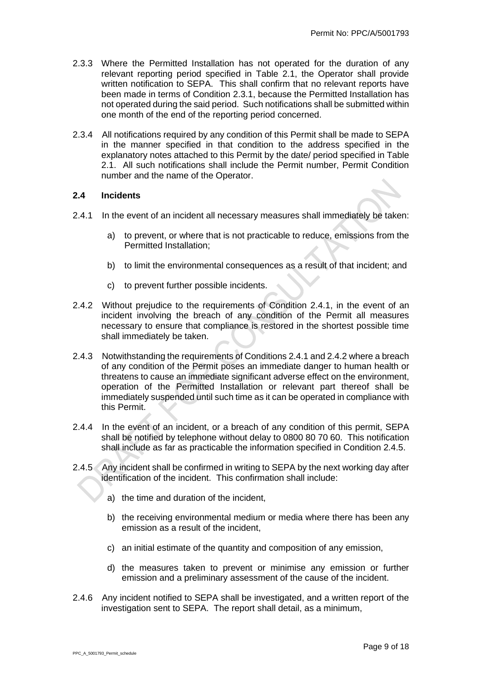- <span id="page-8-1"></span>2.3.3 Where the Permitted Installation has not operated for the duration of any relevant reporting period specified in Table 2.1, the Operator shall provide written notification to SEPA. This shall confirm that no relevant reports have been made in terms of Condition 2.3.1, because the Permitted Installation has not operated during the said period. Such notifications shall be submitted within one month of the end of the reporting period concerned.
- 2.3.4 All notifications required by any condition of this Permit shall be made to SEPA in the manner specified in that condition to the address specified in the explanatory notes attached to this Permit by the date/ period specified in Table 2.1. All such notifications shall include the Permit number, Permit Condition number and the name of the Operator.

#### <span id="page-8-0"></span>**2.4 Incidents**

- 2.4.1 In the event of an incident all necessary measures shall immediately be taken:
	- a) to prevent, or where that is not practicable to reduce, emissions from the Permitted Installation;
	- b) to limit the environmental consequences as a result of that incident; and
	- c) to prevent further possible incidents.
- 2.4.2 Without prejudice to the requirements of Condition 2.4.1, in the event of an incident involving the breach of any condition of the Permit all measures necessary to ensure that compliance is restored in the shortest possible time shall immediately be taken.
- 2.4.3 Notwithstanding the requirements of Conditions 2.4.1 and 2.4.2 where a breach of any condition of the Permit poses an immediate danger to human health or threatens to cause an immediate significant adverse effect on the environment, operation of the Permitted Installation or relevant part thereof shall be immediately suspended until such time as it can be operated in compliance with this Permit.
- 2.4.4 In the event of an incident, or a breach of any condition of this permit, SEPA shall be notified by telephone without delay to 0800 80 70 60. This notification shall include as far as practicable the information specified in Condition 2.4.5.
- 2.4.5 Any incident shall be confirmed in writing to SEPA by the next working day after identification of the incident. This confirmation shall include:
	- a) the time and duration of the incident,
	- b) the receiving environmental medium or media where there has been any emission as a result of the incident,
	- c) an initial estimate of the quantity and composition of any emission,
	- d) the measures taken to prevent or minimise any emission or further emission and a preliminary assessment of the cause of the incident.
- 2.4.6 Any incident notified to SEPA shall be investigated, and a written report of the investigation sent to SEPA. The report shall detail, as a minimum,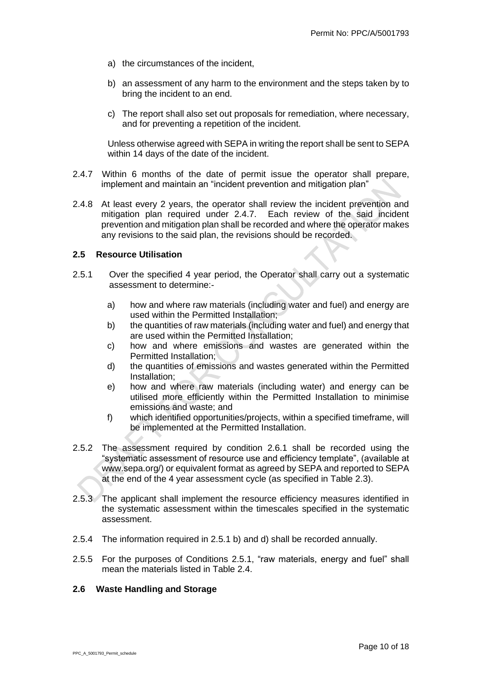- a) the circumstances of the incident,
- b) an assessment of any harm to the environment and the steps taken by to bring the incident to an end.
- c) The report shall also set out proposals for remediation, where necessary, and for preventing a repetition of the incident.

Unless otherwise agreed with SEPA in writing the report shall be sent to SEPA within 14 days of the date of the incident.

- 2.4.7 Within 6 months of the date of permit issue the operator shall prepare, implement and maintain an "incident prevention and mitigation plan"
- 2.4.8 At least every 2 years, the operator shall review the incident prevention and mitigation plan required under 2.4.7. Each review of the said incident prevention and mitigation plan shall be recorded and where the operator makes any revisions to the said plan, the revisions should be recorded.

#### <span id="page-9-0"></span>**2.5 Resource Utilisation**

- 2.5.1 Over the specified 4 year period, the Operator shall carry out a systematic assessment to determine:
	- a) how and where raw materials (including water and fuel) and energy are used within the Permitted Installation;
	- b) the quantities of raw materials (including water and fuel) and energy that are used within the Permitted Installation;
	- c) how and where emissions and wastes are generated within the Permitted Installation;
	- d) the quantities of emissions and wastes generated within the Permitted Installation;
	- e) how and where raw materials (including water) and energy can be utilised more efficiently within the Permitted Installation to minimise emissions and waste; and
	- f) which identified opportunities/projects, within a specified timeframe, will be implemented at the Permitted Installation.
- 2.5.2 The assessment required by condition 2.6.1 shall be recorded using the "systematic assessment of resource use and efficiency template", (available at www.sepa.org/) or equivalent format as agreed by SEPA and reported to SEPA at the end of the 4 year assessment cycle (as specified in Table 2.3).
- 2.5.3 The applicant shall implement the resource efficiency measures identified in the systematic assessment within the timescales specified in the systematic assessment.
- 2.5.4 The information required in 2.5.1 b) and d) shall be recorded annually.
- 2.5.5 For the purposes of Conditions 2.5.1, "raw materials, energy and fuel" shall mean the materials listed in Table 2.4.

#### <span id="page-9-1"></span>**2.6 Waste Handling and Storage**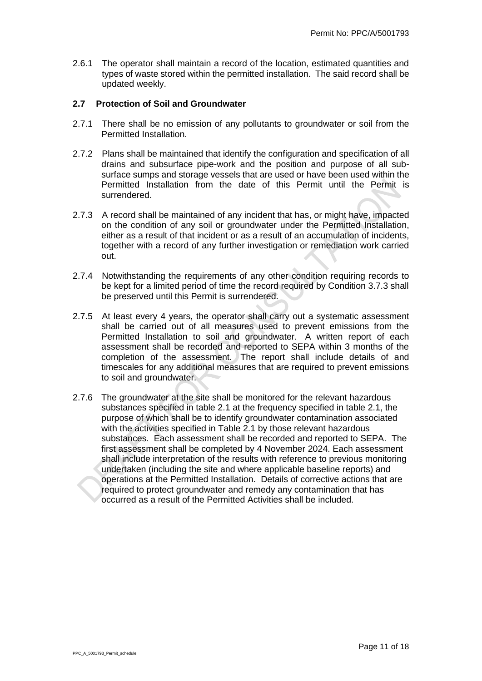2.6.1 The operator shall maintain a record of the location, estimated quantities and types of waste stored within the permitted installation. The said record shall be updated weekly.

#### <span id="page-10-0"></span>**2.7 Protection of Soil and Groundwater**

- 2.7.1 There shall be no emission of any pollutants to groundwater or soil from the Permitted Installation.
- 2.7.2 Plans shall be maintained that identify the configuration and specification of all drains and subsurface pipe-work and the position and purpose of all subsurface sumps and storage vessels that are used or have been used within the Permitted Installation from the date of this Permit until the Permit is surrendered.
- 2.7.3 A record shall be maintained of any incident that has, or might have, impacted on the condition of any soil or groundwater under the Permitted Installation, either as a result of that incident or as a result of an accumulation of incidents, together with a record of any further investigation or remediation work carried out.
- 2.7.4 Notwithstanding the requirements of any other condition requiring records to be kept for a limited period of time the record required by Condition 3.7.3 shall be preserved until this Permit is surrendered.
- 2.7.5 At least every 4 years, the operator shall carry out a systematic assessment shall be carried out of all measures used to prevent emissions from the Permitted Installation to soil and groundwater. A written report of each assessment shall be recorded and reported to SEPA within 3 months of the completion of the assessment. The report shall include details of and timescales for any additional measures that are required to prevent emissions to soil and groundwater.
- 2.7.6 The groundwater at the site shall be monitored for the relevant hazardous substances specified in table 2.1 at the frequency specified in table 2.1, the purpose of which shall be to identify groundwater contamination associated with the activities specified in Table 2.1 by those relevant hazardous substances. Each assessment shall be recorded and reported to SEPA. The first assessment shall be completed by 4 November 2024. Each assessment shall include interpretation of the results with reference to previous monitoring undertaken (including the site and where applicable baseline reports) and operations at the Permitted Installation. Details of corrective actions that are required to protect groundwater and remedy any contamination that has occurred as a result of the Permitted Activities shall be included.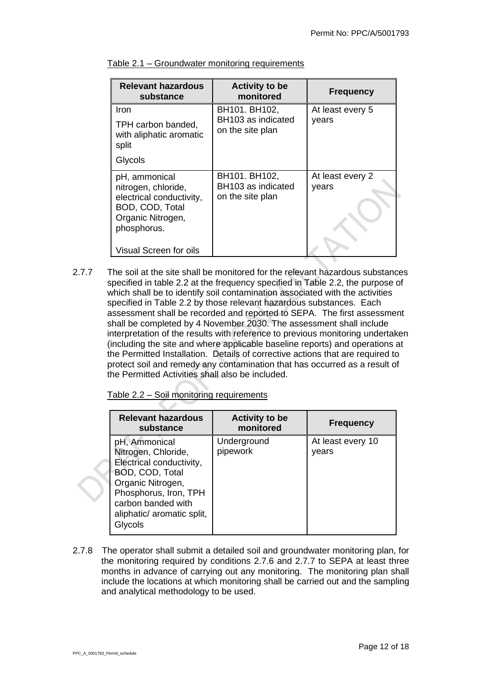| <b>Relevant hazardous</b><br>substance                                                                                  | <b>Activity to be</b><br>monitored                      | <b>Frequency</b>          |
|-------------------------------------------------------------------------------------------------------------------------|---------------------------------------------------------|---------------------------|
| Iron<br>TPH carbon banded,<br>with aliphatic aromatic<br>split                                                          | BH101. BH102,<br>BH103 as indicated<br>on the site plan | At least every 5<br>years |
| Glycols                                                                                                                 |                                                         |                           |
| pH, ammonical<br>nitrogen, chloride,<br>electrical conductivity,<br>BOD, COD, Total<br>Organic Nitrogen,<br>phosphorus. | BH101. BH102,<br>BH103 as indicated<br>on the site plan | At least every 2<br>years |
| Visual Screen for oils                                                                                                  |                                                         |                           |

| Table 2.1 – Groundwater monitoring requirements |  |  |
|-------------------------------------------------|--|--|
|                                                 |  |  |

2.7.7 The soil at the site shall be monitored for the relevant hazardous substances specified in table 2.2 at the frequency specified in Table 2.2, the purpose of which shall be to identify soil contamination associated with the activities specified in Table 2.2 by those relevant hazardous substances. Each assessment shall be recorded and reported to SEPA. The first assessment shall be completed by 4 November 2030. The assessment shall include interpretation of the results with reference to previous monitoring undertaken (including the site and where applicable baseline reports) and operations at the Permitted Installation. Details of corrective actions that are required to protect soil and remedy any contamination that has occurred as a result of the Permitted Activities shall also be included.

| <b>Relevant hazardous</b><br>substance                                                                                                                                                           | <b>Activity to be</b><br>monitored | <b>Frequency</b>           |
|--------------------------------------------------------------------------------------------------------------------------------------------------------------------------------------------------|------------------------------------|----------------------------|
| pH, Ammonical<br>Nitrogen, Chloride,<br>Electrical conductivity,<br>BOD, COD, Total<br>Organic Nitrogen,<br>Phosphorus, Iron, TPH<br>carbon banded with<br>aliphatic/ aromatic split,<br>Glycols | Underground<br>pipework            | At least every 10<br>vears |

2.7.8 The operator shall submit a detailed soil and groundwater monitoring plan, for the monitoring required by conditions 2.7.6 and 2.7.7 to SEPA at least three months in advance of carrying out any monitoring. The monitoring plan shall include the locations at which monitoring shall be carried out and the sampling and analytical methodology to be used.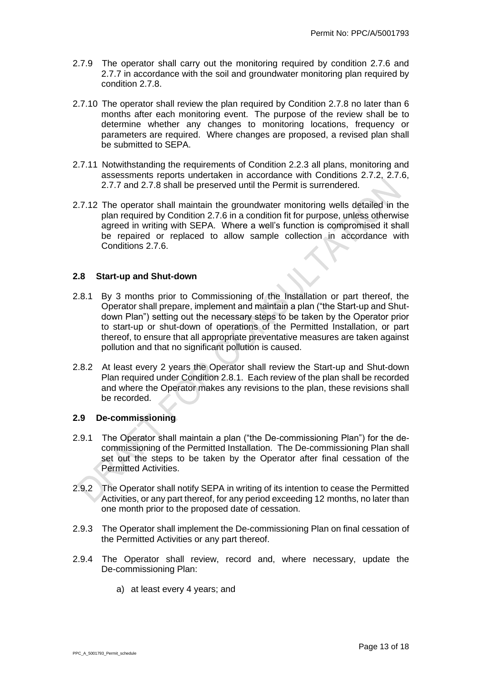- 2.7.9 The operator shall carry out the monitoring required by condition 2.7.6 and 2.7.7 in accordance with the soil and groundwater monitoring plan required by condition 2.7.8.
- 2.7.10 The operator shall review the plan required by Condition 2.7.8 no later than 6 months after each monitoring event. The purpose of the review shall be to determine whether any changes to monitoring locations, frequency or parameters are required. Where changes are proposed, a revised plan shall be submitted to SEPA.
- 2.7.11 Notwithstanding the requirements of Condition 2.2.3 all plans, monitoring and assessments reports undertaken in accordance with Conditions 2.7.2, 2.7.6, 2.7.7 and 2.7.8 shall be preserved until the Permit is surrendered.
- 2.7.12 The operator shall maintain the groundwater monitoring wells detailed in the plan required by Condition 2.7.6 in a condition fit for purpose, unless otherwise agreed in writing with SEPA. Where a well's function is compromised it shall be repaired or replaced to allow sample collection in accordance with Conditions 2.7.6.

#### <span id="page-12-0"></span>**2.8 Start-up and Shut-down**

- <span id="page-12-2"></span>2.8.1 By 3 months prior to Commissioning of the Installation or part thereof, the Operator shall prepare, implement and maintain a plan ("the Start-up and Shutdown Plan") setting out the necessary steps to be taken by the Operator prior to start-up or shut-down of operations of the Permitted Installation, or part thereof, to ensure that all appropriate preventative measures are taken against pollution and that no significant pollution is caused.
- 2.8.2 At least every 2 years the Operator shall review the Start-up and Shut-down Plan required under Condition [2.8.1.](#page-12-2) Each review of the plan shall be recorded and where the Operator makes any revisions to the plan, these revisions shall be recorded.

#### <span id="page-12-1"></span>**2.9 De-commissioning**

- 2.9.1 The Operator shall maintain a plan ("the De-commissioning Plan") for the decommissioning of the Permitted Installation. The De-commissioning Plan shall set out the steps to be taken by the Operator after final cessation of the Permitted Activities.
- 2.9.2 The Operator shall notify SEPA in writing of its intention to cease the Permitted Activities, or any part thereof, for any period exceeding 12 months, no later than one month prior to the proposed date of cessation.
- 2.9.3 The Operator shall implement the De-commissioning Plan on final cessation of the Permitted Activities or any part thereof.
- 2.9.4 The Operator shall review, record and, where necessary, update the De-commissioning Plan:
	- a) at least every 4 years; and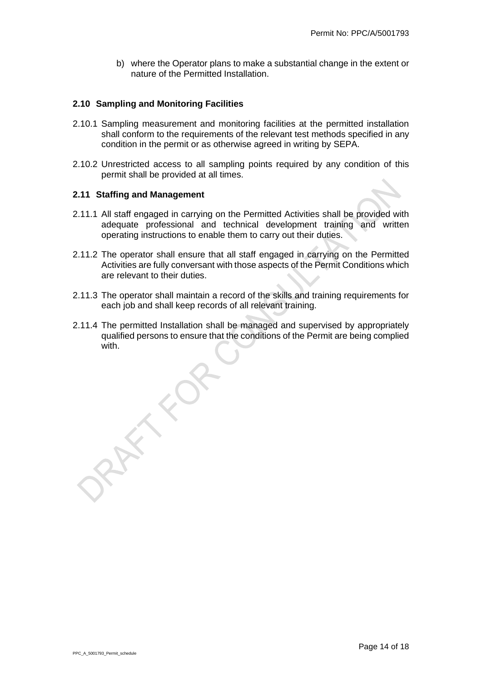b) where the Operator plans to make a substantial change in the extent or nature of the Permitted Installation.

### <span id="page-13-0"></span>**2.10 Sampling and Monitoring Facilities**

- 2.10.1 Sampling measurement and monitoring facilities at the permitted installation shall conform to the requirements of the relevant test methods specified in any condition in the permit or as otherwise agreed in writing by SEPA.
- 2.10.2 Unrestricted access to all sampling points required by any condition of this permit shall be provided at all times.

#### <span id="page-13-1"></span>**2.11 Staffing and Management**

- 2.11.1 All staff engaged in carrying on the Permitted Activities shall be provided with adequate professional and technical development training and written operating instructions to enable them to carry out their duties.
- 2.11.2 The operator shall ensure that all staff engaged in carrying on the Permitted Activities are fully conversant with those aspects of the Permit Conditions which are relevant to their duties.
- 2.11.3 The operator shall maintain a record of the skills and training requirements for each job and shall keep records of all relevant training.
- 2.11.4 The permitted Installation shall be managed and supervised by appropriately qualified persons to ensure that the conditions of the Permit are being complied with.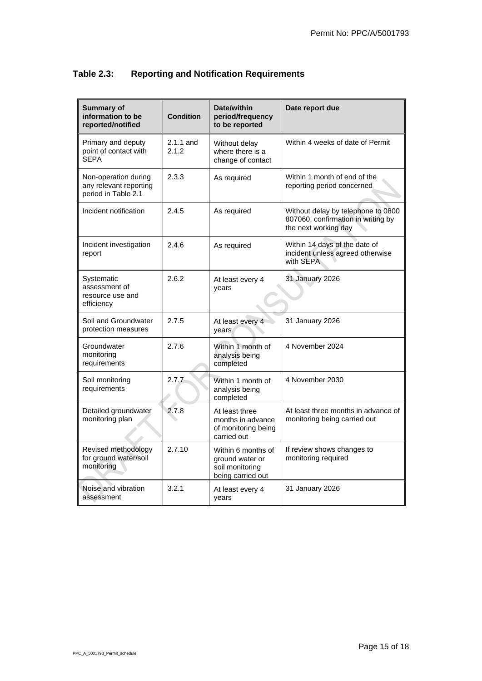| <b>Summary of</b><br>information to be<br>reported/notified           | <b>Condition</b>     | Date/within<br>period/frequency<br>to be reported                             | Date report due                                                                                  |
|-----------------------------------------------------------------------|----------------------|-------------------------------------------------------------------------------|--------------------------------------------------------------------------------------------------|
| Primary and deputy<br>point of contact with<br><b>SEPA</b>            | $2.1.1$ and<br>2.1.2 | Without delay<br>where there is a<br>change of contact                        | Within 4 weeks of date of Permit                                                                 |
| Non-operation during<br>any relevant reporting<br>period in Table 2.1 | 2.3.3                | As required                                                                   | Within 1 month of end of the<br>reporting period concerned                                       |
| Incident notification                                                 | 2.4.5                | As required                                                                   | Without delay by telephone to 0800<br>807060, confirmation in writing by<br>the next working day |
| Incident investigation<br>report                                      | 2.4.6                | As required                                                                   | Within 14 days of the date of<br>incident unless agreed otherwise<br>with SEPA                   |
| Systematic<br>assessment of<br>resource use and<br>efficiency         | 2.6.2                | At least every 4<br>vears                                                     | 31 January 2026                                                                                  |
| Soil and Groundwater<br>protection measures                           | 2.7.5                | At least every 4<br>years                                                     | 31 January 2026                                                                                  |
| Groundwater<br>monitoring<br>requirements                             | 2.7.6                | Within 1 month of<br>analysis being<br>completed                              | 4 November 2024                                                                                  |
| Soil monitoring<br>requirements                                       | 2.7.7                | Within 1 month of<br>analysis being<br>completed                              | 4 November 2030                                                                                  |
| Detailed groundwater<br>monitoring plan                               | 2.7.8                | At least three<br>months in advance<br>of monitoring being<br>carried out     | At least three months in advance of<br>monitoring being carried out                              |
| Revised methodology<br>for ground water/soil<br>monitoring            | 2.7.10               | Within 6 months of<br>ground water or<br>soil monitoring<br>being carried out | If review shows changes to<br>monitoring required                                                |
| Noise and vibration<br>assessment                                     | 3.2.1                | At least every 4<br>years                                                     | 31 January 2026                                                                                  |

# **Table 2.3: Reporting and Notification Requirements**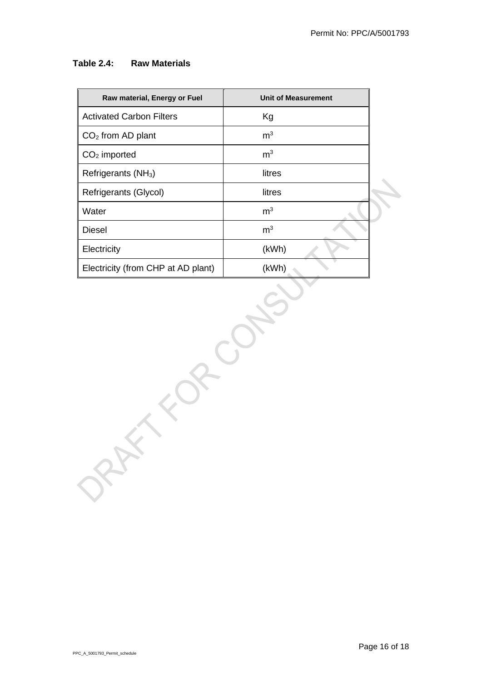### **Table 2.4: Raw Materials**

| Raw material, Energy or Fuel       | <b>Unit of Measurement</b> |  |  |
|------------------------------------|----------------------------|--|--|
| <b>Activated Carbon Filters</b>    | Kg                         |  |  |
| $CO2$ from AD plant                | m <sup>3</sup>             |  |  |
| $CO2$ imported                     | m <sup>3</sup>             |  |  |
| Refrigerants (NH <sub>3</sub> )    | litres                     |  |  |
| Refrigerants (Glycol)              | litres                     |  |  |
| Water                              | m <sup>3</sup>             |  |  |
| <b>Diesel</b>                      | $\mathsf{m}^3$             |  |  |
| Electricity                        | (kWh)                      |  |  |
| Electricity (from CHP at AD plant) | (kWh)                      |  |  |
|                                    |                            |  |  |

PPC\_A\_5001793\_Permit\_schedule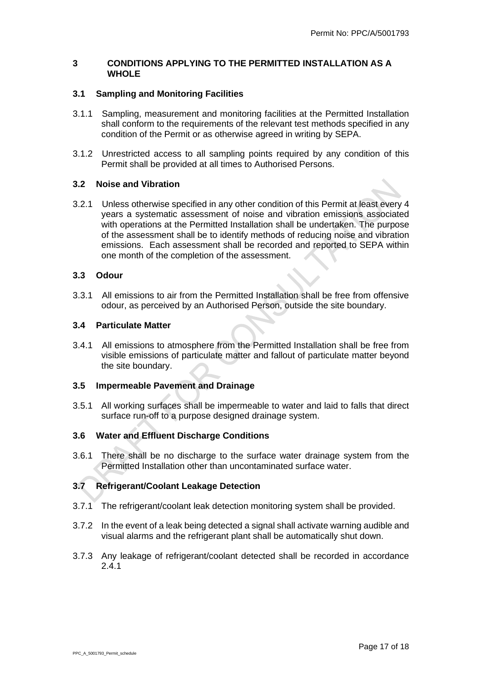#### <span id="page-16-0"></span>**3 CONDITIONS APPLYING TO THE PERMITTED INSTALLATION AS A WHOLE**

# <span id="page-16-1"></span>**3.1 Sampling and Monitoring Facilities**

- 3.1.1 Sampling, measurement and monitoring facilities at the Permitted Installation shall conform to the requirements of the relevant test methods specified in any condition of the Permit or as otherwise agreed in writing by SEPA.
- 3.1.2 Unrestricted access to all sampling points required by any condition of this Permit shall be provided at all times to Authorised Persons.

#### <span id="page-16-2"></span>**3.2 Noise and Vibration**

3.2.1 Unless otherwise specified in any other condition of this Permit at least every 4 years a systematic assessment of noise and vibration emissions associated with operations at the Permitted Installation shall be undertaken. The purpose of the assessment shall be to identify methods of reducing noise and vibration emissions. Each assessment shall be recorded and reported to SEPA within one month of the completion of the assessment.

### <span id="page-16-3"></span>**3.3 Odour**

3.3.1 All emissions to air from the Permitted Installation shall be free from offensive odour, as perceived by an Authorised Person, outside the site boundary.

### <span id="page-16-4"></span>**3.4 Particulate Matter**

3.4.1 All emissions to atmosphere from the Permitted Installation shall be free from visible emissions of particulate matter and fallout of particulate matter beyond the site boundary.

#### <span id="page-16-5"></span>**3.5 Impermeable Pavement and Drainage**

3.5.1 All working surfaces shall be impermeable to water and laid to falls that direct surface run-off to a purpose designed drainage system.

#### <span id="page-16-6"></span>**3.6 Water and Effluent Discharge Conditions**

3.6.1 There shall be no discharge to the surface water drainage system from the Permitted Installation other than uncontaminated surface water.

# <span id="page-16-7"></span>**3.7 Refrigerant/Coolant Leakage Detection**

- 3.7.1 The refrigerant/coolant leak detection monitoring system shall be provided.
- 3.7.2 In the event of a leak being detected a signal shall activate warning audible and visual alarms and the refrigerant plant shall be automatically shut down.
- 3.7.3 Any leakage of refrigerant/coolant detected shall be recorded in accordance 2.4.1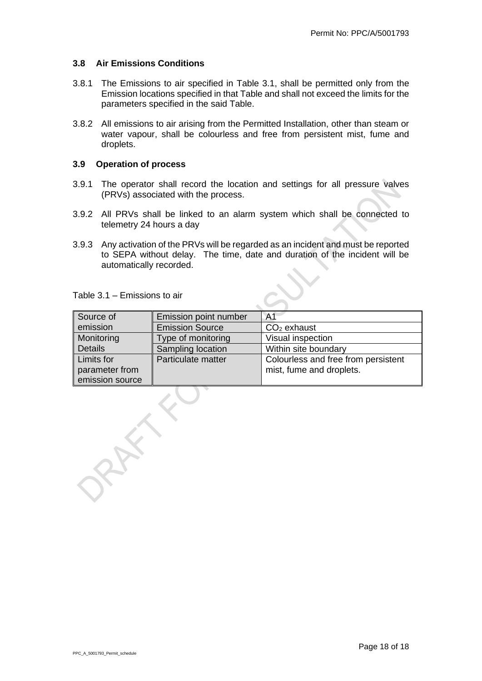#### <span id="page-17-0"></span>**3.8 Air Emissions Conditions**

- 3.8.1 The Emissions to air specified in Table 3.1, shall be permitted only from the Emission locations specified in that Table and shall not exceed the limits for the parameters specified in the said Table.
- 3.8.2 All emissions to air arising from the Permitted Installation, other than steam or water vapour, shall be colourless and free from persistent mist, fume and droplets.

# <span id="page-17-1"></span>**3.9 Operation of process**

- 3.9.1 The operator shall record the location and settings for all pressure valves (PRVs) associated with the process.
- 3.9.2 All PRVs shall be linked to an alarm system which shall be connected to telemetry 24 hours a day
- 3.9.3 Any activation of the PRVs will be regarded as an incident and must be reported to SEPA without delay. The time, date and duration of the incident will be automatically recorded.

| Source of       | Emission point number  | A <sub>1</sub>                      |
|-----------------|------------------------|-------------------------------------|
| emission        | <b>Emission Source</b> | $CO2$ exhaust                       |
| Monitoring      | Type of monitoring     | Visual inspection                   |
| <b>Details</b>  | Sampling location      | Within site boundary                |
| Limits for      | Particulate matter     | Colourless and free from persistent |
| parameter from  |                        | mist, fume and droplets.            |
| emission source |                        |                                     |

Table 3.1 – Emissions to air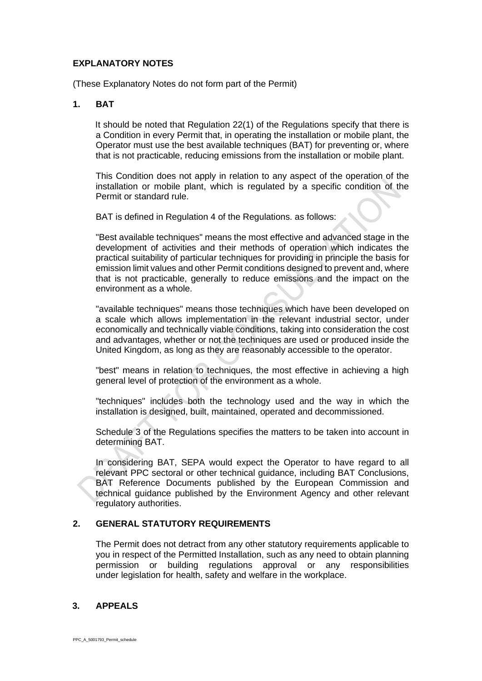### **EXPLANATORY NOTES**

(These Explanatory Notes do not form part of the Permit)

# **1. BAT**

It should be noted that Regulation 22(1) of the Regulations specify that there is a Condition in every Permit that, in operating the installation or mobile plant, the Operator must use the best available techniques (BAT) for preventing or, where that is not practicable, reducing emissions from the installation or mobile plant.

This Condition does not apply in relation to any aspect of the operation of the installation or mobile plant, which is regulated by a specific condition of the Permit or standard rule.

BAT is defined in Regulation 4 of the Regulations. as follows:

"Best available techniques" means the most effective and advanced stage in the development of activities and their methods of operation which indicates the practical suitability of particular techniques for providing in principle the basis for emission limit values and other Permit conditions designed to prevent and, where that is not practicable, generally to reduce emissions and the impact on the environment as a whole.

"available techniques" means those techniques which have been developed on a scale which allows implementation in the relevant industrial sector, under economically and technically viable conditions, taking into consideration the cost and advantages, whether or not the techniques are used or produced inside the United Kingdom, as long as they are reasonably accessible to the operator.

"best" means in relation to techniques, the most effective in achieving a high general level of protection of the environment as a whole.

"techniques" includes both the technology used and the way in which the installation is designed, built, maintained, operated and decommissioned.

Schedule 3 of the Regulations specifies the matters to be taken into account in determining BAT.

In considering BAT, SEPA would expect the Operator to have regard to all relevant PPC sectoral or other technical guidance, including BAT Conclusions, BAT Reference Documents published by the European Commission and technical guidance published by the Environment Agency and other relevant regulatory authorities.

# **2. GENERAL STATUTORY REQUIREMENTS**

The Permit does not detract from any other statutory requirements applicable to you in respect of the Permitted Installation, such as any need to obtain planning permission or building regulations approval or any responsibilities under legislation for health, safety and welfare in the workplace.

# **3. APPEALS**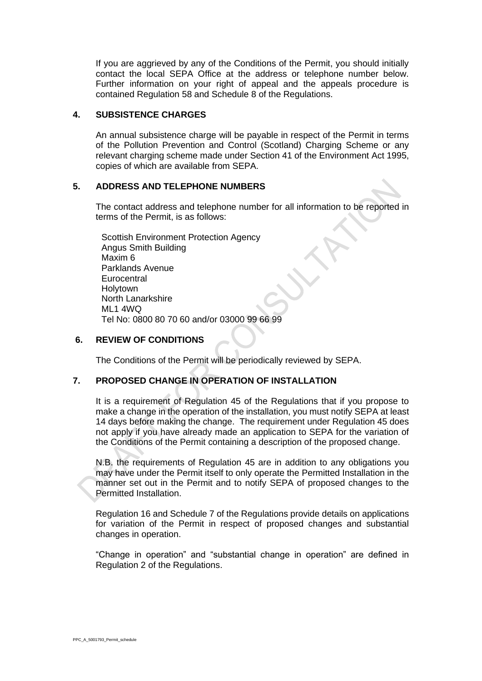If you are aggrieved by any of the Conditions of the Permit, you should initially contact the local SEPA Office at the address or telephone number below. Further information on your right of appeal and the appeals procedure is contained Regulation 58 and Schedule 8 of the Regulations.

# **4. SUBSISTENCE CHARGES**

An annual subsistence charge will be payable in respect of the Permit in terms of the Pollution Prevention and Control (Scotland) Charging Scheme or any relevant charging scheme made under Section 41 of the Environment Act 1995, copies of which are available from SEPA.

### **5. ADDRESS AND TELEPHONE NUMBERS**

The contact address and telephone number for all information to be reported in terms of the Permit, is as follows:

Scottish Environment Protection Agency Angus Smith Building Maxim 6 Parklands Avenue **Eurocentral Holytown** North Lanarkshire ML1 4WQ Tel No: 0800 80 70 60 and/or 03000 99 66 99

### **6. REVIEW OF CONDITIONS**

The Conditions of the Permit will be periodically reviewed by SEPA.

# **7. PROPOSED CHANGE IN OPERATION OF INSTALLATION**

It is a requirement of Regulation 45 of the Regulations that if you propose to make a change in the operation of the installation, you must notify SEPA at least 14 days before making the change. The requirement under Regulation 45 does not apply if you have already made an application to SEPA for the variation of the Conditions of the Permit containing a description of the proposed change.

N.B. the requirements of Regulation 45 are in addition to any obligations you may have under the Permit itself to only operate the Permitted Installation in the manner set out in the Permit and to notify SEPA of proposed changes to the Permitted Installation.

Regulation 16 and Schedule 7 of the Regulations provide details on applications for variation of the Permit in respect of proposed changes and substantial changes in operation.

"Change in operation" and "substantial change in operation" are defined in Regulation 2 of the Regulations.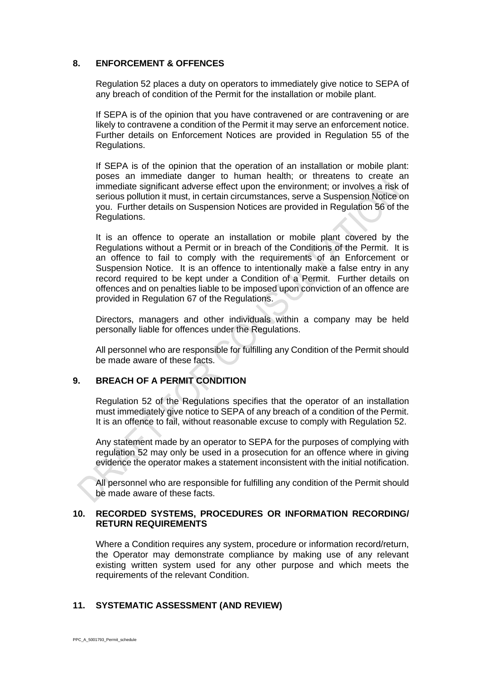#### **8. ENFORCEMENT & OFFENCES**

Regulation 52 places a duty on operators to immediately give notice to SEPA of any breach of condition of the Permit for the installation or mobile plant.

If SEPA is of the opinion that you have contravened or are contravening or are likely to contravene a condition of the Permit it may serve an enforcement notice. Further details on Enforcement Notices are provided in Regulation 55 of the Regulations.

If SEPA is of the opinion that the operation of an installation or mobile plant: poses an immediate danger to human health; or threatens to create an immediate significant adverse effect upon the environment; or involves a risk of serious pollution it must, in certain circumstances, serve a Suspension Notice on you. Further details on Suspension Notices are provided in Regulation 56 of the Regulations.

It is an offence to operate an installation or mobile plant covered by the Regulations without a Permit or in breach of the Conditions of the Permit. It is an offence to fail to comply with the requirements of an Enforcement or Suspension Notice. It is an offence to intentionally make a false entry in any record required to be kept under a Condition of a Permit. Further details on offences and on penalties liable to be imposed upon conviction of an offence are provided in Regulation 67 of the Regulations.

Directors, managers and other individuals within a company may be held personally liable for offences under the Regulations.

All personnel who are responsible for fulfilling any Condition of the Permit should be made aware of these facts.

# **9. BREACH OF A PERMIT CONDITION**

Regulation 52 of the Regulations specifies that the operator of an installation must immediately give notice to SEPA of any breach of a condition of the Permit. It is an offence to fail, without reasonable excuse to comply with Regulation 52.

Any statement made by an operator to SEPA for the purposes of complying with regulation 52 may only be used in a prosecution for an offence where in giving evidence the operator makes a statement inconsistent with the initial notification.

All personnel who are responsible for fulfilling any condition of the Permit should be made aware of these facts.

### **10. RECORDED SYSTEMS, PROCEDURES OR INFORMATION RECORDING/ RETURN REQUIREMENTS**

Where a Condition requires any system, procedure or information record/return, the Operator may demonstrate compliance by making use of any relevant existing written system used for any other purpose and which meets the requirements of the relevant Condition.

# **11. SYSTEMATIC ASSESSMENT (AND REVIEW)**